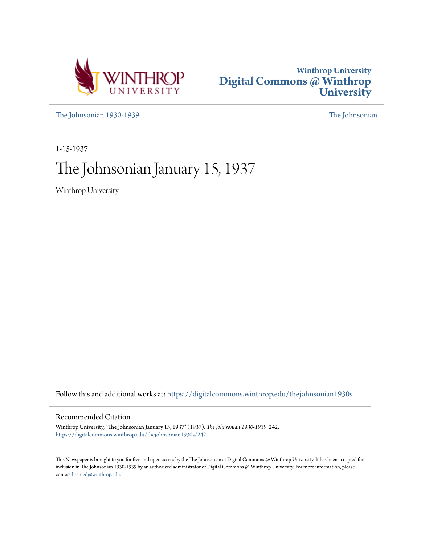



[The Johnsonian 1930-1939](https://digitalcommons.winthrop.edu/thejohnsonian1930s?utm_source=digitalcommons.winthrop.edu%2Fthejohnsonian1930s%2F242&utm_medium=PDF&utm_campaign=PDFCoverPages) [The Johnsonian](https://digitalcommons.winthrop.edu/thejohnsonian_newspaper?utm_source=digitalcommons.winthrop.edu%2Fthejohnsonian1930s%2F242&utm_medium=PDF&utm_campaign=PDFCoverPages)

1-15-1937

# The Johnsonian January 15, 1937

Winthrop University

Follow this and additional works at: [https://digitalcommons.winthrop.edu/thejohnsonian1930s](https://digitalcommons.winthrop.edu/thejohnsonian1930s?utm_source=digitalcommons.winthrop.edu%2Fthejohnsonian1930s%2F242&utm_medium=PDF&utm_campaign=PDFCoverPages)

## Recommended Citation

Winthrop University, "The Johnsonian January 15, 1937" (1937). *The Johnsonian 1930-1939*. 242. [https://digitalcommons.winthrop.edu/thejohnsonian1930s/242](https://digitalcommons.winthrop.edu/thejohnsonian1930s/242?utm_source=digitalcommons.winthrop.edu%2Fthejohnsonian1930s%2F242&utm_medium=PDF&utm_campaign=PDFCoverPages)

This Newspaper is brought to you for free and open access by the The Johnsonian at Digital Commons @ Winthrop University. It has been accepted for inclusion in The Johnsonian 1930-1939 by an authorized administrator of Digital Commons @ Winthrop University. For more information, please contact [bramed@winthrop.edu](mailto:bramed@winthrop.edu).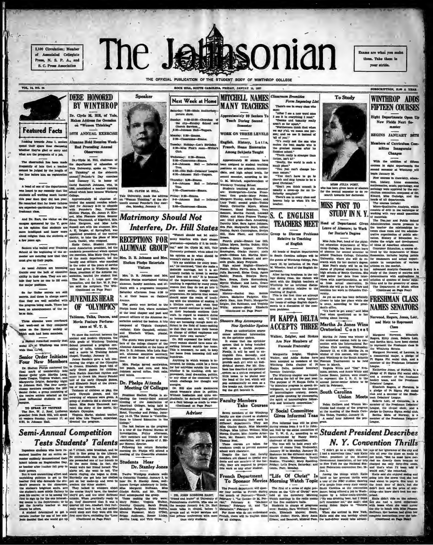2,100 Circulation: Member of Associated Collegiate Press, N. S. P. A., and S. C. Press Association

**VOL. 14, NO. 34** 

**Ensonian** The Jet

THE OFFICIAL PUBLICATION OF THE STUDENT BODY OF WINTHROP COLLEGE



So far Tatler secrets are still secreta. And those in charge assert JUVENILES HEAR is being made. There has uncement of the re- $0000$ locus date.

Three almunes were overheard nive amends were overseed<br>as on the literary accidy of aptes on the literary acclety :<br>hideh uach had heen members.

Which each had here months. To a<br>pow the contrat interest the angle of the contrat interest the angle of the<br>distribution we move in each of Winthrop Training cooled in<br>7.at Whiltenp was more is<br>concel grad of Winthrop Tr

the neutron minimal dividend as the fercuring of students were given. A game information of the proper of students and a charity range of students and control of the most of the most of the most of the most of the most of

### Semi-Annual Competition **Tests Students' Talents**

situdents who have re- at 7 o'clock, miss breakfast, and he<br>setive for an entire se- first in line going to the Library. tive for an entire

In<br>general was no mean on the set of the context and intervals and context<br>and maliod inactive for an entire as- fark in the scheme to the rich<br>respect method, inactive for an entire as- fark in the scheme and<br> $\mathbf{r}_{\text{max$ 

ton said the scripture. The V<br>(Continued on Page Pour)

## OF "OLYMPICS" Tableaus, Taiks, Dances, an

Movie Feature Performance at W. T. S.

the contrast between the

The most are the most and the second and the second and the second and the second and the second and the second and the second and the second and the second and the second and the second and the second and the second and

Dr. Pheips Attenus energies.<br>Meeting Of Colleges Er. Hull also made statement

Visitors

coules".<br>
The last feature on the program<br>
The Schedules".<br>
The stow of the Pederal Bureau of<br>
Inwestigation, Pridry difference,<br>
Line methods of the prior of the principal and<br>
anotheric part Hover, director.<br>
Phonor, dir

M

Theodore.<br>
History--Rachel Hay, Bobbie<br>
James, Madaline Padgette, Eliz-<br>
abeth Ham, Ann Prutti, Marguerite<br>
Zeigler, Dot Robinson, and Virginia<br>
Willi; acience---Bany Elizabeth<br>
Continued on Page Pour)

**Showers May Accompany** New Sprinkler Syster

From an authoritative source comes additional massesment<br>on the aprinkier space .<br>It wents that the sprinkler<br>system that is being installed<br>will serve a double parpose. system that is being installed perpendicular and the set of the set of the set of the set of the set of the perpendicular stress of the set of the set of the set of the set of the set of the set of the set of the set of t

**Faculty Members** 

### **Take Course**

Seven members of the Winthrop<br>faculty are also classed as students and are continuing their work in<br>different continuing their work in Alfred Continuing Continuing Continuing<br>Minima Cladys Smith, Miss Manuele Arter-<br>Norma as Noal,<br>as courses are taken for<br>mic credit to prevent summer These

academic creats to pressure and the David Testing Despite the fact that faculty monthers are classed as special studies denta and are members of the factority, they are required to prepare this work as any other student.

structure for an internal uncertainty of English, This is the first time an attempt  $\frac{1}{\sqrt{2}}$  and  $\frac{1}{2}$  are the part of children in  $\frac{1}{2}$  and  $\frac{1}{2}$  are the property of the set of college Equipm depart  $\frac{1}{2}$  control to take her place while and  $\frac{1}{2}$ 

# **ACCEPTS THREE** Martha Jo Jones Wins

A SURJE IN A MILITARY CHE CONTROL CON TUBE SET INTERNATIONAL CHE CONTROL SURVEY AND A SURVEY ARE NOT RESERVE TO THE CONTROL SURVEY AND SURVEY AND SURVEY AND SURVEY AND SURVEY AND SURVEY AND SURVEY AND MONETAINTY INTO A SU

Y Social Committee Gives Informal Teas

ions and we<br>The Department of Super<br>Continued on Page Po

Class

# **CONSIDENTIAL ASSESSMENT CONSUMING THE CONSUMING SUPPRESS (SEE THE CONSUMING SUPPRESS CONSUMING TO A RECORD CONSUMING TO A RECORD OF THE CONSUMING SUPPRESS (SEE THE CONSUMING SUPPRESS (SEE THE CONSUMING SUPPRESS) (SEE THE**

commute that forcelly Hostenson to the absorbed and sense of the stress of the stress of the stress of the stress of the stress of the stress of the stress of the stress of the stress of the stress of the stress of the st

veralty.

Exams are what you m

them. Take them in

your stride.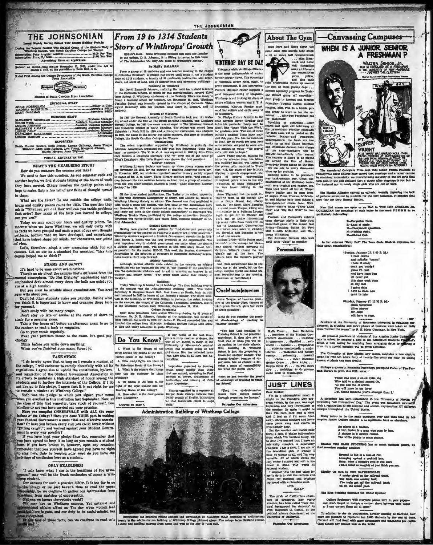ed Wechly During Scheel Year Except Bellday Furiods.<br>9 Regular Session The Official Organ of the Studius: Body of<br>shrop College, The South Carolina College for Women 41.00 Per Year 

as second-class matter November 21, 1933, under the Act of March 3, 1879, at the postallice in Rock Hill, S. C.

trat Ameng the College Newspapers of the South Carol

Member ina Press /

uth Carol EDITORIAL STAFF **ROBERTULOM IROINIA MCKELTHEN** 

| <b>BURINESS STAFF</b> |  |
|-----------------------|--|
|                       |  |
|                       |  |
|                       |  |
|                       |  |
|                       |  |
|                       |  |

**SEPORTERS** 

Greene Stewart, Ruth Bethes, Lorena Galloway, Jamie 2 Jimbeth Kelly, Rose Rudnick, Lots Young, Margaret Alkman Harriet, Morgan, Anne Tilghman.

### FRIDAY, JANUARY 15, 1937

**WHATS THE MEASURING STICK?** 

How do you measure the courses you take?

We need to face this question. As one semester ends and another begins, we find students talking of the hours of work they have carried. Others mention the quality points they nous are about as constant point and the matrix of Society, in 1999.<br>
Society, in 1999. Estates Pahlanskins. The Pather is the older, appearing the constant of the bine stated political<br>
in 1998 with Pietwood Memogravy of hope to make. Only a few tell of new fields of thought opened to them.

What are the facts? To one outside the college walls hours and quality points count for little. The question they sak is "What can you do? How well can you tackle problems that arise? How many of the facts you learned in college. can you use?"

Today we may count our hours and quality points. To Journal we may come to the base Winthrop, we will only curvy with<br>the morrow when we leave Winthrop, we will only curvy with<br>the facts we have grassped and made a part of our own it hopest<br>terms, hobbies that we have devel

Wellinely was cutton-on-ten-<br>according the control of the state of the state of the state of the<br>state of the control of the state of the state of the state of the<br>state of the state of the state of the state of the state Let".<br>Let's, therefore, adopt a new measuring stick for our<br>courses. Let us use as a standard the queation, "Has this<br>course helped me to think?"

### **EXAMS AND SANITY**

Although various athletic clubs related on the campus an athletic<br>association was not organized till 1913-14. The purpose of the association<br>association was not organized till 1913-14. The purpose of the association<br>was no It's hard to be same about examinations.<br>There's an air about the campus that's different from the<br>Employation campus that's different from the<br>Employation density of the halls are quiet; you<br>phasized deck almost every doo

are at a high tension.

emphasized deck almost every door; the halls are quiet; you present.<br>
and the same of the same of the comparison of the comparison of the comparison of the comparison of the comparison of the comparison of the comparison are at a mgn tension. Sensible about examinations. You need on the campus<br>your wits about you.<br>your wits about you.<br>Don't let other students make you panicky. Decide what use on the build

the canteen or read a book or magazine.

Go to your meals regularly. Wear your prettiest blouse to the exam. It's good psyclogy.<br>Think before you write down anything.<br>When you've finished your exam, forget it.

### **TAKE STOCK**

"I do bereby agree that so long a 1 remain a student of 2. How many Labu are there in the college, I will endeavor to comply cheerfully with all its due Henerica Reverte the temperature of the Students of the condition, b

when you enrolled in this institution last September. Now, at the close of this first semester, take stock of yourself. See the<br>there are not you have carried out your promise. Here you complied CHEERFULLY with ALL the re tion? Or have you broken every rule you could break without<br>"getting caught"; and worked against your Student Governent in every way possible?<br>If you have kept your pledge thus far, remember that<br>If you have kept your pledge thus far, remember that

you have agreed to keep it so long as you remain a student<br>here. If you have breeken it, however, upon any occasion,<br>transmission is the concentration of the same of the same<br>of the same product of the same of the same of

### **ONLY HEADLINES!**

"I only know what I see in the headlines of the new-papers," may well be the frank confession of many a Windirop student.

Our excuss for such a practice differ. It is too far to go this library or we just haven't time to read the paper growth to gather our information from sadines, from sandches of conversation

eventary, so we contuins to gather our intermations.<br>The same specified conversation.<br>That can we ignore the contestie world?<br>We may live on Winthrop campus. Yet national and We may live on Winthrop campus.<br>Here is past, a

and properties. The control of the control of the control of the control of the control of the control of the control of the control of the control of the control of the control of the control of the control of the control

From 19 to 1314 Students

**Story of Winthrops' Growth** 

(Editor's Note: Since Winthrop bonored this week the founds of the college, D. B. Johnson, it is fitting to review in this issue of The Johnsonian the fifty-one years of Winthrop's history.)

By MARY GALLMAN

From a group of 19 smidious and conclusion teacher meeting in the chapel<br>Columbia Seminary, Winthrop has grown until today it has a student<br>phy of 1314 students, a farctify of 91 professors, hastructions, and appear on the

lons made a third step forws

Answers on page 4.

Athletic Association

 $\bullet$ 



Note of 1214 students, forming of 31 profesor and neuron contributions, and appear in the students. The exposition between the control of the students of the students of the students of the students of the students of the

abow up for practice.<br>
made for prevalent one of the prevalent over back-capapus way. Clogs-the<br>
brainstowns of the Wintinton Basel and San Prevalent and San Prevalent<br>
brain two of the Wintinton Basel and San Prevalent<br>
R

The Tightman has the most in-<br>
American rightman has the most in-<br>  $\cos 1$  crystry room in the achool; also<br>
as a Couja Boord, too. (Sorry<br>
has, has the door). Mary Hermdon<br>  $\therefore$  a small Jessie Teapue, biling un-<br>
the nota correspondence course from Wal<br>Disney-they're doing "Three Little"<br>Pigs" and "Big Bad Wolf" in con orget to get off at Chester till Pearson and Barnwell's cohort

came through nicely in the de fins sketball game of the season priday-Training School 28; Formation and California and California and California and California (Fig. 7)<br>
NGC 7-with McMeekin and California (Fig. 7)<br>
Pet Averaion: Dancers who well until after "Tups" to practice. Port<br>Oal-

**Personalities** 



variaty ... summany ... cancerate:<br>Senior Order ... Beia Alpha ...<br>Kappa Delta Pi ... Peia Phi social<br>Gib ... Ambition: to do government work in Washington.

### **JUST LINES**

ar Mother.  $\overline{\mathbf{r}}$ Tm in a philosophical m The in a philosophical model. It is considered in the state of state in the interesting of the weaker. Or state in the might be weaker, or state in the state of the state of the state of the state of the state of the stat

out a crop of choice bull-sessions to date ?'ve learned that I have an to date Tree learned that I have all<br>inferiority complex, a superiority complex; I am a such, I am cone<br>of the friendident string in school; I for the fractical<br>have no talents at all, and Trn very versus the . All<br>of whi

I suppose that the best<br>me to do is to visit the car dispel my thoughts and bright my mond with a chocolate misk. Love,<br>SALLY

The pride of California's chamers of cosmology among the system weaker, has been called "poor cul-<br>ural background for students" by formulation and the system of the system of the political science department at the<br>Direc

im Our Adva





The Au ciated Collegiate Press says that senior won<br>Biate College have agreed that marriage and ula Blate Co safully. An overwhe liming majority of the 190 girls th it part in the poll deflared that a career after me dags is not thand nor to needy single girls who are out of v

The Florida Alligator carried an editorial vecessity deploring the lack<br>of pictures submitted by students for the 1937 Seminola. It appears that<br>they fear for their Beauty Section.

New that exams are upon us we find in THE LOS ANGELES JE COLLEGIAN the meanings of each better in the word FLUNE in he

F-Forgotion facts.<br>L-Lack of study. U-Unexpected of<br>N-Nathing right.<br>K-Kishad Out.

In her columns "Baily Ro!" The Lown

nday, January 17, 7:00 P. M.)<br>I hate exams<br>and midnite "crams"<br>I hate to study don't you buddy?<br>guess i'll quit and have some fun i'll never gut<br>this darn work done at any rale<br>1 gotta date<br>have to leave now<br>can't be late.

lay, Jammary 17, 10:30 P. M. hitter sørrow<br>hitter sørrow<br>hir, Sage /<br>will have to rage.

 $\sim$  1.000  $\pm$ 

. Students at the University of Rochester interested in obtaining amount for the University of Rochester interested in obtaining and other phases of business were taken on daily

All personal problems of students at Los Angeles Junior College and too be exhed by emoting a note to the Associated Students Property of the anti-state of strong treatments of the strategie decision of the strategie of t

The University of New Mexico now makes available a new organ for rent ten hours deliy at twenty-five cense per hour. By essona students can earn credite.

Perhaps a course in Peminina Psychology prompted Pisher of The Par-<br>an Hermet to print this little verse: -

There was once a co-ed quit<br>Who said to a student name<br>"If you kiss ma, of course<br>You will have to use force<br>But, thank heavens, you're st Dan 1-

A precedent has been established at the University of Florida with a registration of 630 alumnes and alumni, representing "All Universities" bar," The event was considered successively with a registration of 630 alumnes a

Elang seems to bu the same campuses over and that used on Los

An alarm is a mairon.<br>A bur- funter is a man who goes to teas A shoper is a lecture course.<br>A shoper is a lecture course.<br>The white plague is sman papers.

Because THE SLUE STOCKING has so mash

Decesed in hill in a coat of fur,<br>Lounging against a cocktail tar,<br>Baby, what I weekin't give if you were<br>Just a third as massive sel you think you

Diguity (as seen by THE DAVIDSONIAN):<br>A subsection at the indicated and a scalar state and the railroad track,<br>The train was coming fast;<br>The train was coming fast;<br>The train got off the railroad track<br>To let the ornier gass.

sching describes the Hour 8:

College Frofessor: Will everyone please turn in your past don't forget to include a curbon sheet between each ao  $T$  can correct them all at once."

Its addition to the six publications already existing at Harvard, four are planned to represent her 3,000 students by the end of June. Harvard will mod the<br>Harvard will mod the stress here approximate the magnetic paramet



oting the brautiful rolling campus and surrounded by numerous other<br>the administration building of Wimihrop College pictured above. The co<br>id mailonal gateway from north and west to the city of Rock Hill.



If her hobby of the last the

Vegetables preserved by freezing<br>retain better quality than those<br>that are manned, according to Prof.<br>Howard D. Brown, department of<br>horticulture and forestry at Ohio<br>State University.

What do you

Figures compiled by a reporter at<br>Oregon State College indicate that<br>10,500 pounds of English instructors<br>at that institution climb 74 steps<br>daily. "That the student-teacher<br>learns more subject matter<br>through preparing her leasons."

Patronim Our Adverti

OneMinuteInterview

on these questions: Wast do you consider the greet<br>est dimensioner of teaching<br>Training School?"

Administration Building of Winthrop College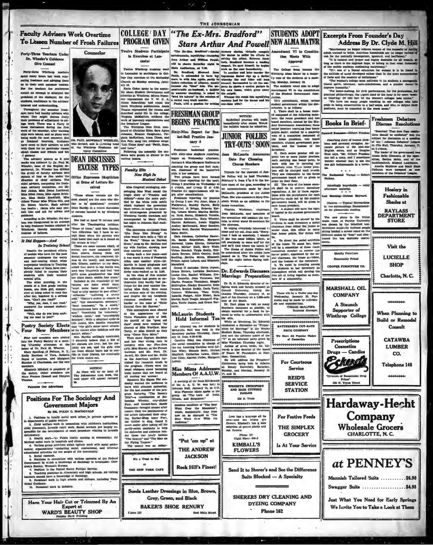

In Training Sch In Training Scribt<br>of genidels the periatent efforts and compare for the past<br>sensater underground the worry and half-teating which often of<br>any accompany teaching in Training School, some of them have com-<br>School, some of

There are some excuses which, o

that "one girl's sister never return

**NOTICE!** 

pletely failed to impress their with their students with their unusual<br>mental gifts, The other monuting, in the<br>comme of a first grade reading<br>beams, one diffuse grade reading<br>electron, one diffuse galacted to read day<br>after day, inquired in a serious<br>tone, "Gank y

"Well, why do you keep mak-<br>ing me read to you?"

Poetry Society Elects

New Members Four

Four new members were elected docan't either," antihanty concluded hate the development of the first historic policy of the first control of the first base of the parameter ( $\mathbf{r}$ ,  $\mathbf{r}$ , and the parameter ( $\mathbf{r}$ 

rs.<br>beth Mitchell is president of<br>sciety. Other members are<br>Frances Gomell and Dimples 10. As there will be no issue of<br>The Johnsonian next week, the<br>next paper will appear January

Patroniae Our Advertisers

### **Positions For The Sociology And Government Majors**

ä.

By DR. WALEX G. MACDONALD

1. Positions in family social work diler, in private agencies of the primary social work diler. In private agencies of the control of primary social control of primary and the control of the control of the control of the c child place

now the word —the Public health numing in community; (b) Health numing in community; (b) also<br>dial social work in hospitals and clinica.<br>Warkios grave priviries which include work with social settle-<br>U warkios grave conduc

6. Bocial research.<br>
6. Rediktor an connection with various agencies of the Pedeval Connection<br>
corresponding the animal Bureau.<br>
Were a linear and the property and the property of Bureau and Spiritual<br>
2. The Pedicin In

chers second i vors ...<br>coal Guidance.<br>nel Germannel work in industry.

Have Your Hair Cut or Trimmed By An Expert at<br>WARD'S BEAUTY SHOP

elling, Bertha Metta, El

Prince, Agnes Leland, and Elizabeth Manufeld Translates . Helen Joynet, Orney Bravet, Control Crack Control Control Control Control (September 2014). The Control Control Control Control Control Control Control Control Control Control Control Control Control Martin in fancy gingha danslie: with cane, and derby cake-walked as in 1:36. At the close of this number the audience had grown so on<br>thusiastic they hardly had pa insurance they martly many and particular<br>the for the next number fea-<br>turing Miss Eady. Here came the evening,<br>and despite the toy telephone<br>and despite the toy telephone<br>harder to the tume of "Helio<br>Central Cive Me Reave

a: and Mr. Noel.

Jarrell, Mr. Gore and Mr. Holli

partly-eaten mustache<br>his conrades and audi

der those two lovely ballads

the Flying Trapeze."<br>The encore was an unhar-

at

F.200x 227

 $\overline{p}$ 

This aimombers soon cleared This atmosphere seem the the appearance of the appearance of the Horndorn girls of 1968.<br>No aheriff of the "good old days" could have resisted the

No the<br>riff of the "groot old compared" and date radiated the<br>charms of Miss Wardlaw, Max Terry, or Miss Dowell as they<br>amy "Clone Hero Mine."<br>Then came filippart Madelon<br>and her four strong men to<br>compete with our Functi

as the American soldiers fur-<br>nished the romantic touch to

as the American solders fur-<br>midden to a represent the program. (There were the usual while<br>real material scheme to the consider the stand in matter that are heard at<br>all moving war notes. (In the offered all moving wave w

etime of the Rock Rill Branch A mercing of the Rock full gamment.<br>
Iohason Hall, January 14, at 4:15.<br>
Mits Florence Minn spoke to the<br>
Mits Florence Minn spoke to the<br>
Hus Florence Minn spoke to India.<br>
Siloam, and Singapore." for the last number of the pro-<br>gram featuring "The Bowroy" area featuring "The Bower)" because the state<br>of the last state of the last state of the last state of<br>the Paraman wherein, city-alidder and state thereore of<br>th

on of "The Bear montous remultion of "The Bear<br>What Ower the Monstein";<br>which, incidentally, may from<br>now on he changed to "The<br>Bear Went Over With the<br>Audience."

"Put 'em un" at **THE ANDREW** 

**JACKSON** It's a Treat to Eat Rock Hill's Finest! THE NEW YORK CAFE

Suede Leather Dressings in Blue, Brown, Grey, Green, and Black

**BAKER'S SHOE RENURY** East Main S

a may use ourse and try out<br>tell swerphody to come and try out<br>and we'll find where the talent is."<br>The theme of Junior Polites will be<br>announced after the critics have<br>passed on it. The Polites will be<br>held the night befo nanounce<br>passed on<br>held the

Dr. Edwards Discusses

Dr. R. H. Edwards, director of re

ligious work and faculty member at Cornell University, visited the campus Thursday, January 14, as<br>part of his itherary on a 5,500-mile<br>tour of the South.<br>On the South. Dr. Hart plans to visit as many

Fhone 337<br>Night Fhone 604-J

**KIMBALL'S** 

**FLOWERS** 

Have All Popular Mah ÷. \*\*\*\*\*\*\*\*\*\*\*\*\*\*

**SERVICE STATION** 

THE SIMPLEX

**Is At Your Service** 

Send It to Sherer's and See the Difference

**SHERERS DRY CLEANING AND DYEING COMPANY** 

shere which will develop

Marriage Preparation line art of living together as me  $h = 0$   $h = 0$ 

> NOTICES<br>There will be a Tail There will be a Tailer pay-day<br>dnesday, January 20, Pay-<br>nis may be made by individu-

**RATTERREE'S CUT-RATE DRUG COVEANS** 

For Courteous

Love has a language all its<br>own-and the letters are<br>flowers. Kimball's has a nice<br>selection of potted plants and<br>cat flowers. **For Festive Feeds** 

**GROCERY** 

Suits Blocked - A Specialty

Phone 162

**Wholesale Grocers** CHARLOTTE, N. C. at PENNEY'S

Visit the

**LUCIELLE** 

**SHOP** 

Charlotte, N.C.

100400000

When Planning to

**Build or Remodel** 

Consult

**CATAWBA** 

**LUMBER** 

 $\Omega$ 

**Telephone 148** 

Quality Purplines

Reasonably Priced

**COOPER FURNITURE CO.** 

MARSHALL OIL

**COMPANY** 

A Staunch

Supporter of

Winthrop College

Prescriptions

**Cosmetics** 

**Drugs** — Candies

Pckerdi

128 N. Tryon Street

of Responsible Drug

Manniah Tailored Suits ...........\$6.90 Swagger Suits .................. \$4.98

Hardaway-Hecht

Company

Just What You Need for Early Springs We Invite You to Take a Look at Them